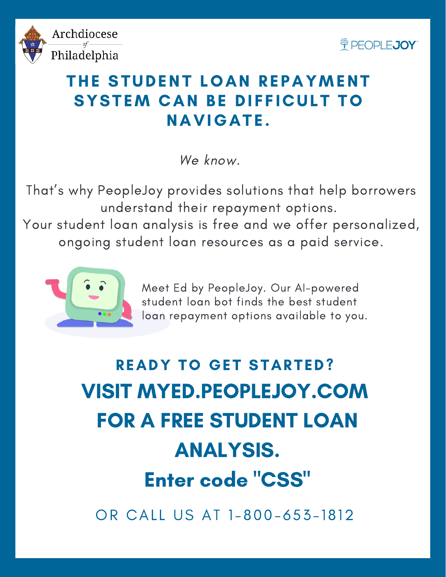



## THE STUDENT LOAN REPAYMENT SYSTEM CAN BE DIFFICULT TO **NAVIGATE.**

We know.

That' s why PeopleJoy provides solutions that help borrowers understand their repayment options. Your student loan analysis is free and we offer personalized, ongoing student loan resources as a paid service.



Meet Ed by PeopleJoy. Our AI-powered student loan bot finds the best student loan repayment options available to you.

(123 ) 45 6 7 8 9 0 . WE ' R E ALWAYS A C C E P T ING VOLUNT E E R S FOR ANALYSIS. VISIT MYED.PEOPLEJOY.COM FOR A FREE STUDENT LOAN Enter code "CSS" READY TO GET STARTED?

OR CALL US AT 1-800-653-1812